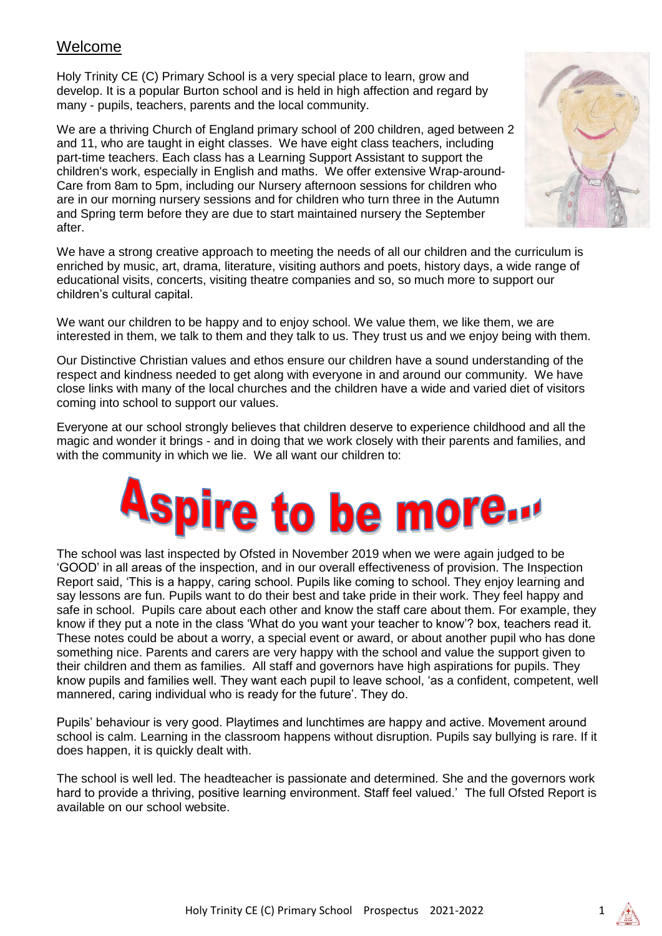# Welcome

Holy Trinity CE (C) Primary School is a very special place to learn, grow and develop. It is a popular Burton school and is held in high affection and regard by many - pupils, teachers, parents and the local community.

We are a thriving Church of England primary school of 200 children, aged between 2 and 11, who are taught in eight classes. We have eight class teachers, including part-time teachers. Each class has a Learning Support Assistant to support the children's work, especially in English and maths. We offer extensive Wrap-around-Care from 8am to 5pm, including our Nursery afternoon sessions for children who are in our morning nursery sessions and for children who turn three in the Autumn and Spring term before they are due to start maintained nursery the September after.



We have a strong creative approach to meeting the needs of all our children and the curriculum is enriched by music, art, drama, literature, visiting authors and poets, history days, a wide range of educational visits, concerts, visiting theatre companies and so, so much more to support our children's cultural capital.

We want our children to be happy and to enjoy school. We value them, we like them, we are interested in them, we talk to them and they talk to us. They trust us and we enjoy being with them.

Our Distinctive Christian values and ethos ensure our children have a sound understanding of the respect and kindness needed to get along with everyone in and around our community. We have close links with many of the local churches and the children have a wide and varied diet of visitors coming into school to support our values.

Everyone at our school strongly believes that children deserve to experience childhood and all the magic and wonder it brings - and in doing that we work closely with their parents and families, and with the community in which we lie. We all want our children to:

# **Aspire to be more...**

The school was last inspected by Ofsted in November 2019 when we were again judged to be 'GOOD' in all areas of the inspection, and in our overall effectiveness of provision. The Inspection Report said, 'This is a happy, caring school. Pupils like coming to school. They enjoy learning and say lessons are fun. Pupils want to do their best and take pride in their work. They feel happy and safe in school. Pupils care about each other and know the staff care about them. For example, they know if they put a note in the class 'What do you want your teacher to know'? box, teachers read it. These notes could be about a worry, a special event or award, or about another pupil who has done something nice. Parents and carers are very happy with the school and value the support given to their children and them as families. All staff and governors have high aspirations for pupils. They know pupils and families well. They want each pupil to leave school, 'as a confident, competent, well mannered, caring individual who is ready for the future'. They do.

Pupils' behaviour is very good. Playtimes and lunchtimes are happy and active. Movement around school is calm. Learning in the classroom happens without disruption. Pupils say bullying is rare. If it does happen, it is quickly dealt with.

The school is well led. The headteacher is passionate and determined. She and the governors work hard to provide a thriving, positive learning environment. Staff feel valued.' The full Ofsted Report is available on our school website.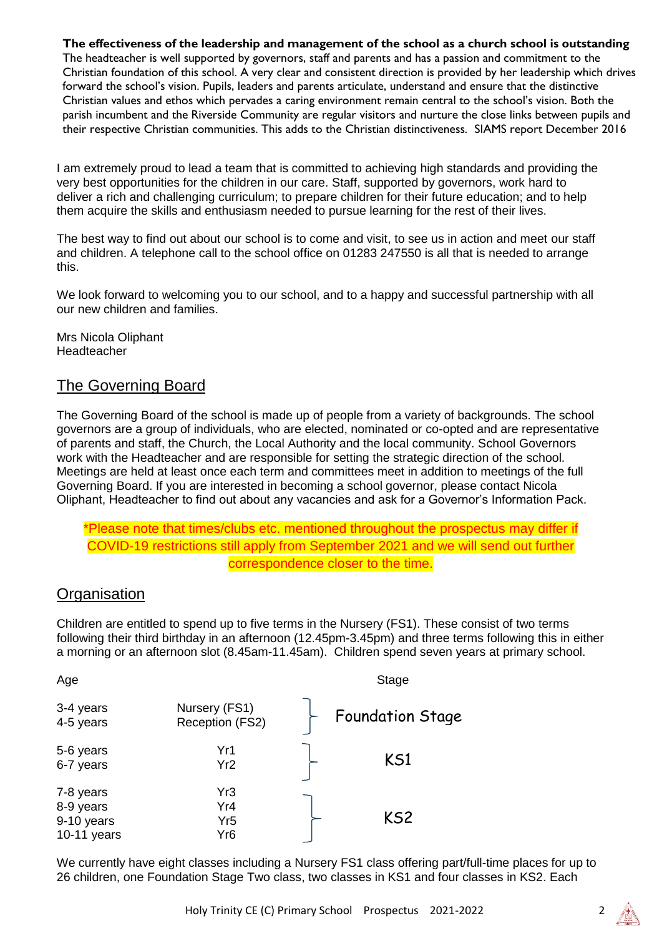#### **The effectiveness of the leadership and management of the school as a church school is outstanding**

The headteacher is well supported by governors, staff and parents and has a passion and commitment to the Christian foundation of this school. A very clear and consistent direction is provided by her leadership which drives forward the school's vision. Pupils, leaders and parents articulate, understand and ensure that the distinctive Christian values and ethos which pervades a caring environment remain central to the school's vision. Both the parish incumbent and the Riverside Community are regular visitors and nurture the close links between pupils and their respective Christian communities. This adds to the Christian distinctiveness. SIAMS report December 2016

I am extremely proud to lead a team that is committed to achieving high standards and providing the very best opportunities for the children in our care. Staff, supported by governors, work hard to deliver a rich and challenging curriculum; to prepare children for their future education; and to help them acquire the skills and enthusiasm needed to pursue learning for the rest of their lives.

The best way to find out about our school is to come and visit, to see us in action and meet our staff and children. A telephone call to the school office on 01283 247550 is all that is needed to arrange this.

We look forward to welcoming you to our school, and to a happy and successful partnership with all our new children and families.

Mrs Nicola Oliphant Headteacher

# The Governing Board

The Governing Board of the school is made up of people from a variety of backgrounds. The school governors are a group of individuals, who are elected, nominated or co-opted and are representative of parents and staff, the Church, the Local Authority and the local community. School Governors work with the Headteacher and are responsible for setting the strategic direction of the school. Meetings are held at least once each term and committees meet in addition to meetings of the full Governing Board. If you are interested in becoming a school governor, please contact Nicola Oliphant, Headteacher to find out about any vacancies and ask for a Governor's Information Pack.

#### \*Please note that times/clubs etc. mentioned throughout the prospectus may differ if COVID-19 restrictions still apply from September 2021 and we will send out further correspondence closer to the time.

# **Organisation**

Children are entitled to spend up to five terms in the Nursery (FS1). These consist of two terms following their third birthday in an afternoon (12.45pm-3.45pm) and three terms following this in either a morning or an afternoon slot (8.45am-11.45am). Children spend seven years at primary school.

| Age                                                 |                                      | Stage                   |
|-----------------------------------------------------|--------------------------------------|-------------------------|
| 3-4 years<br>4-5 years                              | Nursery (FS1)<br>Reception (FS2)     | <b>Foundation Stage</b> |
| 5-6 years<br>6-7 years                              | Yr1<br>Yr <sub>2</sub>               | KS1                     |
| 7-8 years<br>8-9 years<br>9-10 years<br>10-11 years | Yr3<br>Yr4<br>Yr <sub>5</sub><br>Yr6 | KS <sub>2</sub>         |

We currently have eight classes including a Nursery FS1 class offering part/full-time places for up to 26 children, one Foundation Stage Two class, two classes in KS1 and four classes in KS2. Each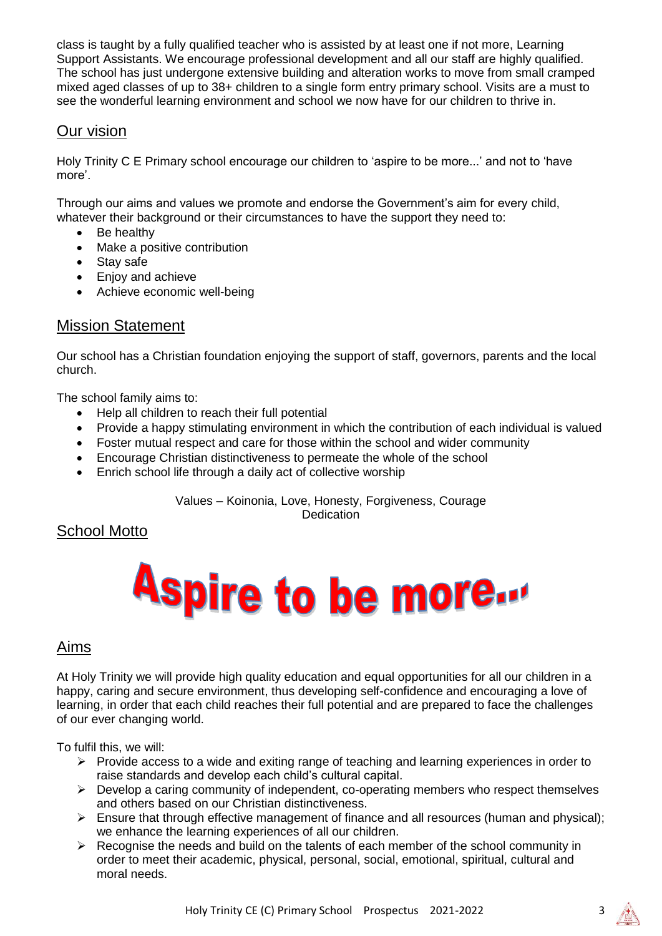class is taught by a fully qualified teacher who is assisted by at least one if not more, Learning Support Assistants. We encourage professional development and all our staff are highly qualified. The school has just undergone extensive building and alteration works to move from small cramped mixed aged classes of up to 38+ children to a single form entry primary school. Visits are a must to see the wonderful learning environment and school we now have for our children to thrive in.

# Our vision

Holy Trinity C E Primary school encourage our children to 'aspire to be more...' and not to 'have more'.

Through our aims and values we promote and endorse the Government's aim for every child, whatever their background or their circumstances to have the support they need to:

- Be healthy
- Make a positive contribution
- Stav safe
- Enjoy and achieve
- Achieve economic well-being

# Mission Statement

Our school has a Christian foundation enjoying the support of staff, governors, parents and the local church.

The school family aims to:

- Help all children to reach their full potential
- Provide a happy stimulating environment in which the contribution of each individual is valued
- Foster mutual respect and care for those within the school and wider community
- Encourage Christian distinctiveness to permeate the whole of the school
- Enrich school life through a daily act of collective worship

Values – Koinonia, Love, Honesty, Forgiveness, Courage **Dedication** 

# School Motto

# **Aspire to be more...**

# Aims

At Holy Trinity we will provide high quality education and equal opportunities for all our children in a happy, caring and secure environment, thus developing self-confidence and encouraging a love of learning, in order that each child reaches their full potential and are prepared to face the challenges of our ever changing world.

To fulfil this, we will:

- $\triangleright$  Provide access to a wide and exiting range of teaching and learning experiences in order to raise standards and develop each child's cultural capital.
- $\triangleright$  Develop a caring community of independent, co-operating members who respect themselves and others based on our Christian distinctiveness.
- $\triangleright$  Ensure that through effective management of finance and all resources (human and physical); we enhance the learning experiences of all our children.
- $\triangleright$  Recognise the needs and build on the talents of each member of the school community in order to meet their academic, physical, personal, social, emotional, spiritual, cultural and moral needs.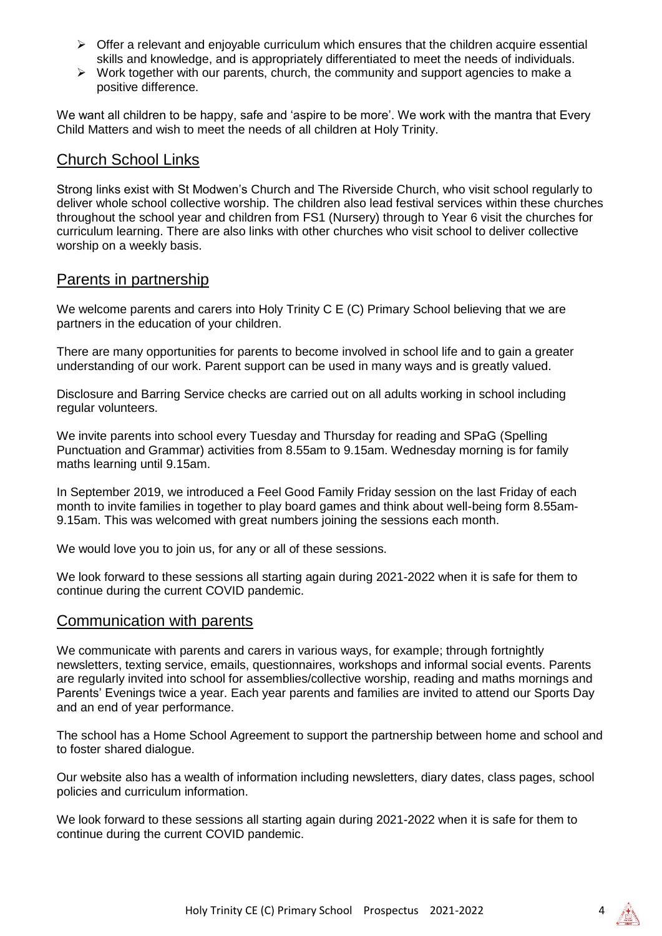- $\triangleright$  Offer a relevant and enjoyable curriculum which ensures that the children acquire essential skills and knowledge, and is appropriately differentiated to meet the needs of individuals.
- $\triangleright$  Work together with our parents, church, the community and support agencies to make a positive difference.

We want all children to be happy, safe and 'aspire to be more'. We work with the mantra that Every Child Matters and wish to meet the needs of all children at Holy Trinity.

#### Church School Links

Strong links exist with St Modwen's Church and The Riverside Church, who visit school regularly to deliver whole school collective worship. The children also lead festival services within these churches throughout the school year and children from FS1 (Nursery) through to Year 6 visit the churches for curriculum learning. There are also links with other churches who visit school to deliver collective worship on a weekly basis.

#### Parents in partnership

We welcome parents and carers into Holy Trinity C E (C) Primary School believing that we are partners in the education of your children.

There are many opportunities for parents to become involved in school life and to gain a greater understanding of our work. Parent support can be used in many ways and is greatly valued.

Disclosure and Barring Service checks are carried out on all adults working in school including regular volunteers.

We invite parents into school every Tuesday and Thursday for reading and SPaG (Spelling Punctuation and Grammar) activities from 8.55am to 9.15am. Wednesday morning is for family maths learning until 9.15am.

In September 2019, we introduced a Feel Good Family Friday session on the last Friday of each month to invite families in together to play board games and think about well-being form 8.55am-9.15am. This was welcomed with great numbers joining the sessions each month.

We would love you to join us, for any or all of these sessions.

We look forward to these sessions all starting again during 2021-2022 when it is safe for them to continue during the current COVID pandemic.

# Communication with parents

We communicate with parents and carers in various ways, for example; through fortnightly newsletters, texting service, emails, questionnaires, workshops and informal social events. Parents are regularly invited into school for assemblies/collective worship, reading and maths mornings and Parents' Evenings twice a year. Each year parents and families are invited to attend our Sports Day and an end of year performance.

The school has a Home School Agreement to support the partnership between home and school and to foster shared dialogue.

Our website also has a wealth of information including newsletters, diary dates, class pages, school policies and curriculum information.

We look forward to these sessions all starting again during 2021-2022 when it is safe for them to continue during the current COVID pandemic.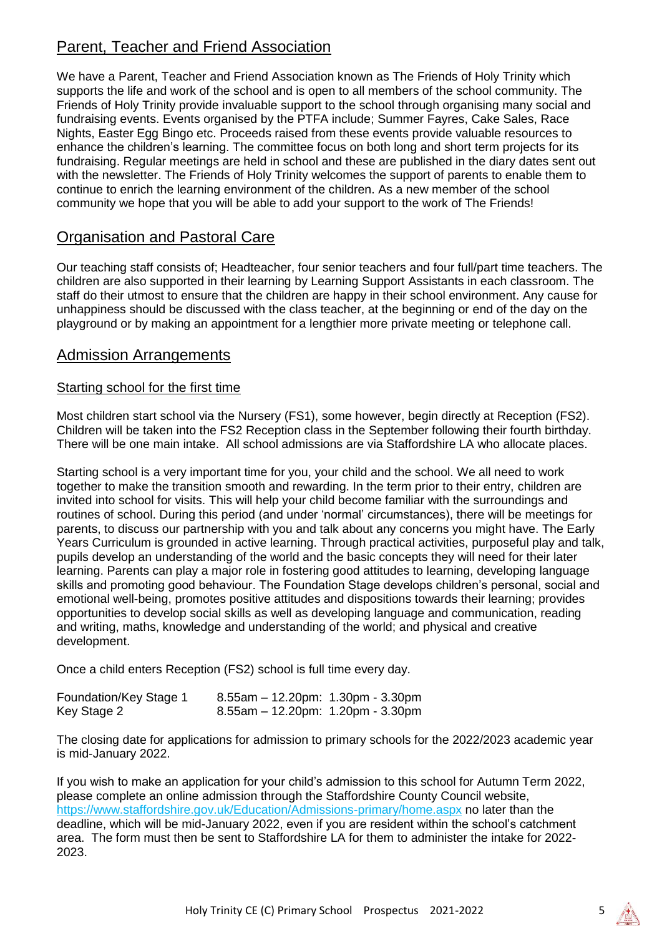# Parent, Teacher and Friend Association

We have a Parent, Teacher and Friend Association known as The Friends of Holy Trinity which supports the life and work of the school and is open to all members of the school community. The Friends of Holy Trinity provide invaluable support to the school through organising many social and fundraising events. Events organised by the PTFA include; Summer Fayres, Cake Sales, Race Nights, Easter Egg Bingo etc. Proceeds raised from these events provide valuable resources to enhance the children's learning. The committee focus on both long and short term projects for its fundraising. Regular meetings are held in school and these are published in the diary dates sent out with the newsletter. The Friends of Holy Trinity welcomes the support of parents to enable them to continue to enrich the learning environment of the children. As a new member of the school community we hope that you will be able to add your support to the work of The Friends!

# Organisation and Pastoral Care

Our teaching staff consists of; Headteacher, four senior teachers and four full/part time teachers. The children are also supported in their learning by Learning Support Assistants in each classroom. The staff do their utmost to ensure that the children are happy in their school environment. Any cause for unhappiness should be discussed with the class teacher, at the beginning or end of the day on the playground or by making an appointment for a lengthier more private meeting or telephone call.

# Admission Arrangements

#### Starting school for the first time

Most children start school via the Nursery (FS1), some however, begin directly at Reception (FS2). Children will be taken into the FS2 Reception class in the September following their fourth birthday. There will be one main intake. All school admissions are via Staffordshire LA who allocate places.

Starting school is a very important time for you, your child and the school. We all need to work together to make the transition smooth and rewarding. In the term prior to their entry, children are invited into school for visits. This will help your child become familiar with the surroundings and routines of school. During this period (and under 'normal' circumstances), there will be meetings for parents, to discuss our partnership with you and talk about any concerns you might have. The Early Years Curriculum is grounded in active learning. Through practical activities, purposeful play and talk, pupils develop an understanding of the world and the basic concepts they will need for their later learning. Parents can play a major role in fostering good attitudes to learning, developing language skills and promoting good behaviour. The Foundation Stage develops children's personal, social and emotional well-being, promotes positive attitudes and dispositions towards their learning; provides opportunities to develop social skills as well as developing language and communication, reading and writing, maths, knowledge and understanding of the world; and physical and creative development.

Once a child enters Reception (FS2) school is full time every day.

| Foundation/Key Stage 1 | $8.55$ am - 12.20pm: 1.30pm - 3.30pm |  |
|------------------------|--------------------------------------|--|
| Key Stage 2            | 8.55am - 12.20pm: 1.20pm - 3.30pm    |  |

The closing date for applications for admission to primary schools for the 2022/2023 academic year is mid-January 2022.

If you wish to make an application for your child's admission to this school for Autumn Term 2022, please complete an online admission through the Staffordshire County Council website, https://www.staffordshire.gov.uk/Education/Admissions-primary/home.aspx no later than the deadline, which will be mid-January 2022, even if you are resident within the school's catchment area. The form must then be sent to Staffordshire LA for them to administer the intake for 2022- 2023.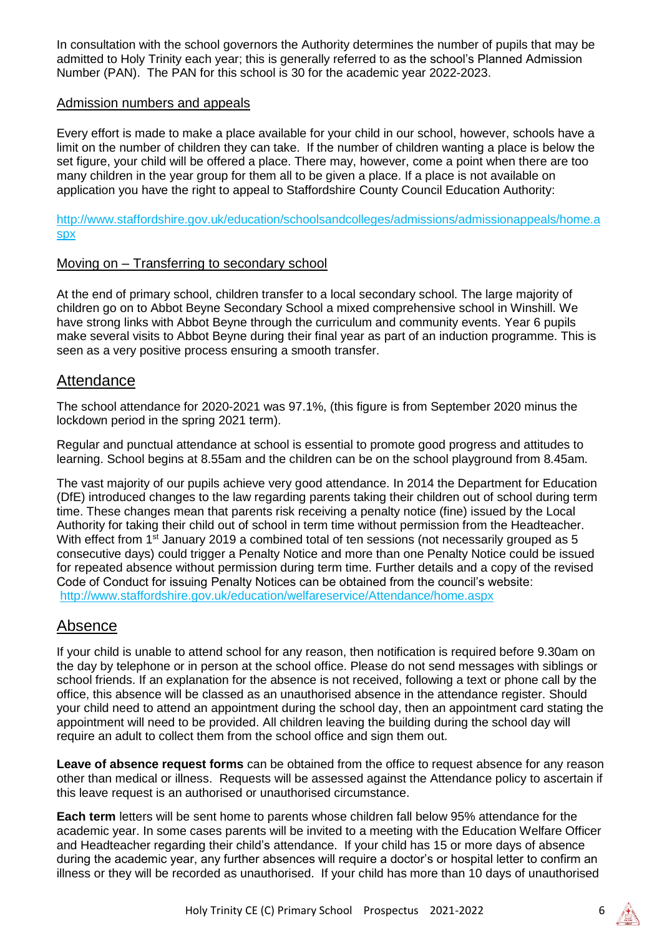In consultation with the school governors the Authority determines the number of pupils that may be admitted to Holy Trinity each year; this is generally referred to as the school's Planned Admission Number (PAN). The PAN for this school is 30 for the academic year 2022-2023.

#### Admission numbers and appeals

Every effort is made to make a place available for your child in our school, however, schools have a limit on the number of children they can take. If the number of children wanting a place is below the set figure, your child will be offered a place. There may, however, come a point when there are too many children in the year group for them all to be given a place. If a place is not available on application you have the right to appeal to Staffordshire County Council Education Authority:

[http://www.staffordshire.gov.uk/education/schoolsandcolleges/admissions/admissionappeals/home.a](http://www.staffordshire.gov.uk/education/schoolsandcolleges/admissions/admissionappeals/home.aspx) [spx](http://www.staffordshire.gov.uk/education/schoolsandcolleges/admissions/admissionappeals/home.aspx)

#### Moving on – Transferring to secondary school

At the end of primary school, children transfer to a local secondary school. The large majority of children go on to Abbot Beyne Secondary School a mixed comprehensive school in Winshill. We have strong links with Abbot Beyne through the curriculum and community events. Year 6 pupils make several visits to Abbot Beyne during their final year as part of an induction programme. This is seen as a very positive process ensuring a smooth transfer.

#### **Attendance**

The school attendance for 2020-2021 was 97.1%, (this figure is from September 2020 minus the lockdown period in the spring 2021 term).

Regular and punctual attendance at school is essential to promote good progress and attitudes to learning. School begins at 8.55am and the children can be on the school playground from 8.45am.

The vast majority of our pupils achieve very good attendance. In 2014 the Department for Education (DfE) introduced changes to the law regarding parents taking their children out of school during term time. These changes mean that parents risk receiving a penalty notice (fine) issued by the Local Authority for taking their child out of school in term time without permission from the Headteacher. With effect from 1<sup>st</sup> January 2019 a combined total of ten sessions (not necessarily grouped as 5 consecutive days) could trigger a Penalty Notice and more than one Penalty Notice could be issued for repeated absence without permission during term time. Further details and a copy of the revised Code of Conduct for issuing Penalty Notices can be obtained from the council's website: <http://www.staffordshire.gov.uk/education/welfareservice/Attendance/home.aspx>

# Absence

If your child is unable to attend school for any reason, then notification is required before 9.30am on the day by telephone or in person at the school office. Please do not send messages with siblings or school friends. If an explanation for the absence is not received, following a text or phone call by the office, this absence will be classed as an unauthorised absence in the attendance register. Should your child need to attend an appointment during the school day, then an appointment card stating the appointment will need to be provided. All children leaving the building during the school day will require an adult to collect them from the school office and sign them out.

**Leave of absence request forms** can be obtained from the office to request absence for any reason other than medical or illness. Requests will be assessed against the Attendance policy to ascertain if this leave request is an authorised or unauthorised circumstance.

**Each term** letters will be sent home to parents whose children fall below 95% attendance for the academic year. In some cases parents will be invited to a meeting with the Education Welfare Officer and Headteacher regarding their child's attendance. If your child has 15 or more days of absence during the academic year, any further absences will require a doctor's or hospital letter to confirm an illness or they will be recorded as unauthorised. If your child has more than 10 days of unauthorised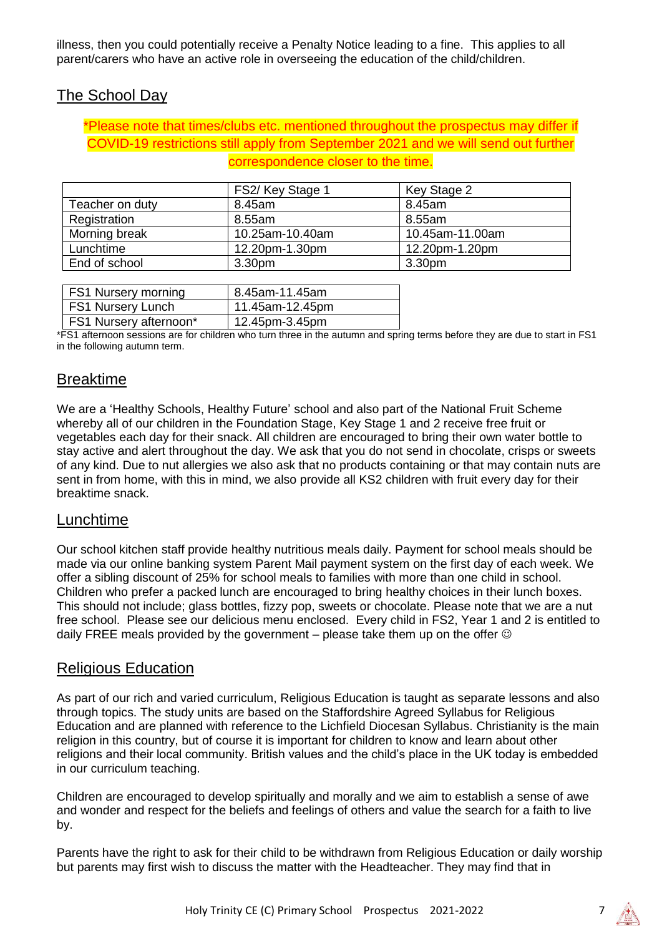illness, then you could potentially receive a Penalty Notice leading to a fine. This applies to all parent/carers who have an active role in overseeing the education of the child/children.

# The School Day

#### \*Please note that times/clubs etc. mentioned throughout the prospectus may differ if COVID-19 restrictions still apply from September 2021 and we will send out further correspondence closer to the time.

|                 | FS2/Key Stage 1    | Key Stage 2        |
|-----------------|--------------------|--------------------|
| Teacher on duty | 8.45am             | 8.45am             |
| Registration    | 8.55am             | 8.55am             |
| Morning break   | 10.25am-10.40am    | 10.45am-11.00am    |
| Lunchtime       | 12.20pm-1.30pm     | 12.20pm-1.20pm     |
| End of school   | 3.30 <sub>pm</sub> | 3.30 <sub>pm</sub> |

| <b>FS1 Nursery morning</b>    | 8.45am-11.45am  |
|-------------------------------|-----------------|
| <b>FS1 Nursery Lunch</b>      | 11.45am-12.45pm |
| <b>FS1 Nursery afternoon*</b> | 12.45pm-3.45pm  |

\*FS1 afternoon sessions are for children who turn three in the autumn and spring terms before they are due to start in FS1 in the following autumn term.

# Breaktime

We are a 'Healthy Schools, Healthy Future' school and also part of the National Fruit Scheme whereby all of our children in the Foundation Stage, Key Stage 1 and 2 receive free fruit or vegetables each day for their snack. All children are encouraged to bring their own water bottle to stay active and alert throughout the day. We ask that you do not send in chocolate, crisps or sweets of any kind. Due to nut allergies we also ask that no products containing or that may contain nuts are sent in from home, with this in mind, we also provide all KS2 children with fruit every day for their breaktime snack.

# Lunchtime

Our school kitchen staff provide healthy nutritious meals daily. Payment for school meals should be made via our online banking system Parent Mail payment system on the first day of each week. We offer a sibling discount of 25% for school meals to families with more than one child in school. Children who prefer a packed lunch are encouraged to bring healthy choices in their lunch boxes. This should not include; glass bottles, fizzy pop, sweets or chocolate. Please note that we are a nut free school. Please see our delicious menu enclosed. Every child in FS2, Year 1 and 2 is entitled to daily FREE meals provided by the government – please take them up on the offer  $\odot$ 

# Religious Education

As part of our rich and varied curriculum, Religious Education is taught as separate lessons and also through topics. The study units are based on the Staffordshire Agreed Syllabus for Religious Education and are planned with reference to the Lichfield Diocesan Syllabus. Christianity is the main religion in this country, but of course it is important for children to know and learn about other religions and their local community. British values and the child's place in the UK today is embedded in our curriculum teaching.

Children are encouraged to develop spiritually and morally and we aim to establish a sense of awe and wonder and respect for the beliefs and feelings of others and value the search for a faith to live by.

Parents have the right to ask for their child to be withdrawn from Religious Education or daily worship but parents may first wish to discuss the matter with the Headteacher. They may find that in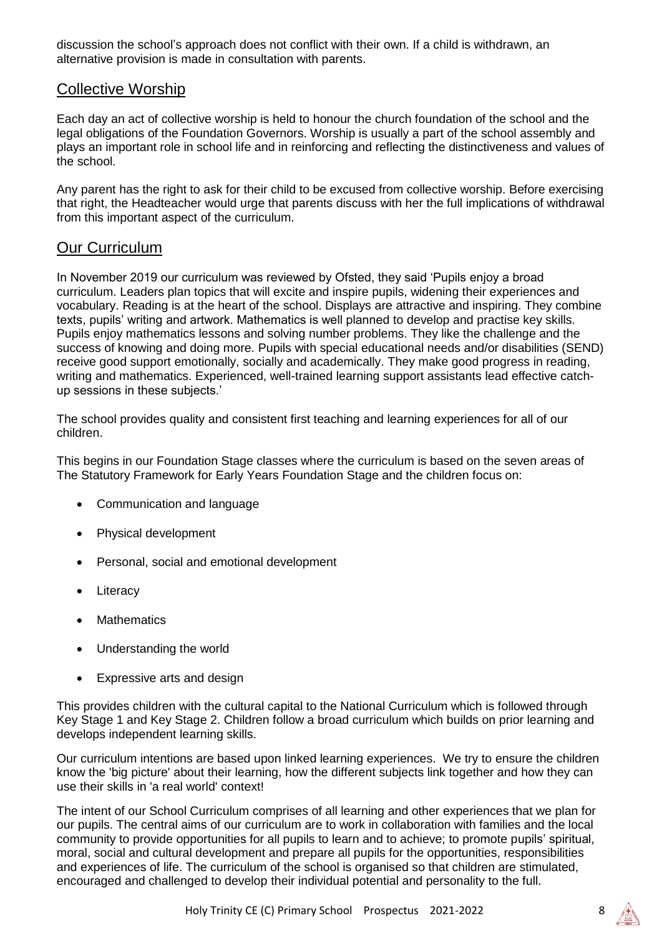discussion the school's approach does not conflict with their own. If a child is withdrawn, an alternative provision is made in consultation with parents.

# Collective Worship

Each day an act of collective worship is held to honour the church foundation of the school and the legal obligations of the Foundation Governors. Worship is usually a part of the school assembly and plays an important role in school life and in reinforcing and reflecting the distinctiveness and values of the school.

Any parent has the right to ask for their child to be excused from collective worship. Before exercising that right, the Headteacher would urge that parents discuss with her the full implications of withdrawal from this important aspect of the curriculum.

# Our Curriculum

In November 2019 our curriculum was reviewed by Ofsted, they said 'Pupils enjoy a broad curriculum. Leaders plan topics that will excite and inspire pupils, widening their experiences and vocabulary. Reading is at the heart of the school. Displays are attractive and inspiring. They combine texts, pupils' writing and artwork. Mathematics is well planned to develop and practise key skills. Pupils enjoy mathematics lessons and solving number problems. They like the challenge and the success of knowing and doing more. Pupils with special educational needs and/or disabilities (SEND) receive good support emotionally, socially and academically. They make good progress in reading, writing and mathematics. Experienced, well-trained learning support assistants lead effective catchup sessions in these subjects.'

The school provides quality and consistent first teaching and learning experiences for all of our children.

This begins in our Foundation Stage classes where the curriculum is based on the seven areas of The Statutory Framework for Early Years Foundation Stage and the children focus on:

- Communication and language
- Physical development
- Personal, social and emotional development
- **Literacy**
- **Mathematics**
- Understanding the world
- Expressive arts and design

This provides children with the cultural capital to the National Curriculum which is followed through Key Stage 1 and Key Stage 2. Children follow a broad curriculum which builds on prior learning and develops independent learning skills.

Our curriculum intentions are based upon linked learning experiences. We try to ensure the children know the 'big picture' about their learning, how the different subjects link together and how they can use their skills in 'a real world' context!

The intent of our School Curriculum comprises of all learning and other experiences that we plan for our pupils. The central aims of our curriculum are to work in collaboration with families and the local community to provide opportunities for all pupils to learn and to achieve; to promote pupils' spiritual, moral, social and cultural development and prepare all pupils for the opportunities, responsibilities and experiences of life. The curriculum of the school is organised so that children are stimulated, encouraged and challenged to develop their individual potential and personality to the full.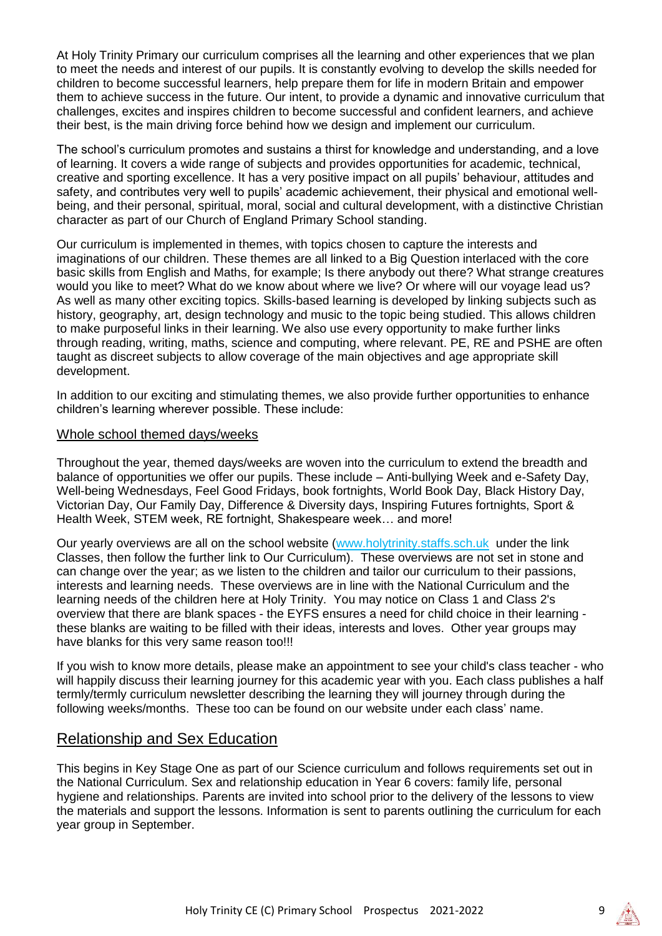At Holy Trinity Primary our curriculum comprises all the learning and other experiences that we plan to meet the needs and interest of our pupils. It is constantly evolving to develop the skills needed for children to become successful learners, help prepare them for life in modern Britain and empower them to achieve success in the future. Our intent, to provide a dynamic and innovative curriculum that challenges, excites and inspires children to become successful and confident learners, and achieve their best, is the main driving force behind how we design and implement our curriculum.

The school's curriculum promotes and sustains a thirst for knowledge and understanding, and a love of learning. It covers a wide range of subjects and provides opportunities for academic, technical, creative and sporting excellence. It has a very positive impact on all pupils' behaviour, attitudes and safety, and contributes very well to pupils' academic achievement, their physical and emotional wellbeing, and their personal, spiritual, moral, social and cultural development, with a distinctive Christian character as part of our Church of England Primary School standing.

Our curriculum is implemented in themes, with topics chosen to capture the interests and imaginations of our children. These themes are all linked to a Big Question interlaced with the core basic skills from English and Maths, for example; Is there anybody out there? What strange creatures would you like to meet? What do we know about where we live? Or where will our voyage lead us? As well as many other exciting topics. Skills-based learning is developed by linking subjects such as history, geography, art, design technology and music to the topic being studied. This allows children to make purposeful links in their learning. We also use every opportunity to make further links through reading, writing, maths, science and computing, where relevant. PE, RE and PSHE are often taught as discreet subjects to allow coverage of the main objectives and age appropriate skill development.

In addition to our exciting and stimulating themes, we also provide further opportunities to enhance children's learning wherever possible. These include:

#### Whole school themed days/weeks

Throughout the year, themed days/weeks are woven into the curriculum to extend the breadth and balance of opportunities we offer our pupils. These include – Anti-bullying Week and e-Safety Day, Well-being Wednesdays, Feel Good Fridays, book fortnights, World Book Day, Black History Day, Victorian Day, Our Family Day, Difference & Diversity days, Inspiring Futures fortnights, Sport & Health Week, STEM week, RE fortnight, Shakespeare week… and more!

Our yearly overviews are all on the school website [\(www.holytrinity.staffs.sch.uk](http://www.holytrinity.staffs.sch.uk/) under the link Classes, then follow the further link to Our Curriculum). These overviews are not set in stone and can change over the year; as we listen to the children and tailor our curriculum to their passions, interests and learning needs. These overviews are in line with the National Curriculum and the learning needs of the children here at Holy Trinity. You may notice on Class 1 and Class 2's overview that there are blank spaces - the EYFS ensures a need for child choice in their learning these blanks are waiting to be filled with their ideas, interests and loves. Other year groups may have blanks for this very same reason too!!!

If you wish to know more details, please make an appointment to see your child's class teacher - who will happily discuss their learning journey for this academic year with you. Each class publishes a half termly/termly curriculum newsletter describing the learning they will journey through during the following weeks/months. These too can be found on our website under each class' name.

# Relationship and Sex Education

This begins in Key Stage One as part of our Science curriculum and follows requirements set out in the National Curriculum. Sex and relationship education in Year 6 covers: family life, personal hygiene and relationships. Parents are invited into school prior to the delivery of the lessons to view the materials and support the lessons. Information is sent to parents outlining the curriculum for each year group in September.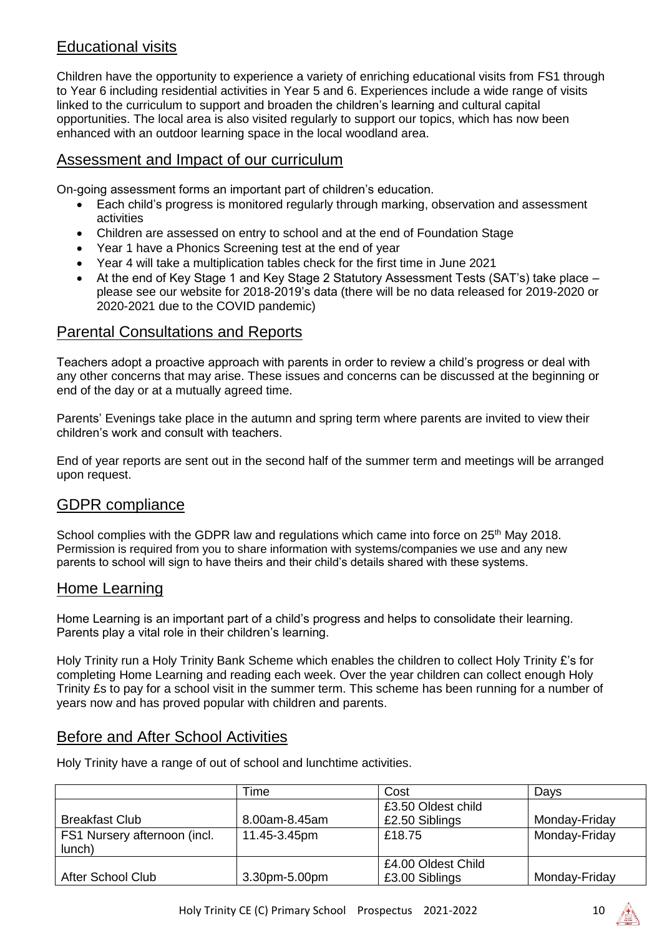# Educational visits

Children have the opportunity to experience a variety of enriching educational visits from FS1 through to Year 6 including residential activities in Year 5 and 6. Experiences include a wide range of visits linked to the curriculum to support and broaden the children's learning and cultural capital opportunities. The local area is also visited regularly to support our topics, which has now been enhanced with an outdoor learning space in the local woodland area.

# Assessment and Impact of our curriculum

On-going assessment forms an important part of children's education.

- Each child's progress is monitored regularly through marking, observation and assessment activities
- Children are assessed on entry to school and at the end of Foundation Stage
- Year 1 have a Phonics Screening test at the end of year
- Year 4 will take a multiplication tables check for the first time in June 2021
- At the end of Key Stage 1 and Key Stage 2 Statutory Assessment Tests (SAT's) take place please see our website for 2018-2019's data (there will be no data released for 2019-2020 or 2020-2021 due to the COVID pandemic)

# Parental Consultations and Reports

Teachers adopt a proactive approach with parents in order to review a child's progress or deal with any other concerns that may arise. These issues and concerns can be discussed at the beginning or end of the day or at a mutually agreed time.

Parents' Evenings take place in the autumn and spring term where parents are invited to view their children's work and consult with teachers.

End of year reports are sent out in the second half of the summer term and meetings will be arranged upon request.

# GDPR compliance

School complies with the GDPR law and regulations which came into force on 25<sup>th</sup> May 2018. Permission is required from you to share information with systems/companies we use and any new parents to school will sign to have theirs and their child's details shared with these systems.

# Home Learning

Home Learning is an important part of a child's progress and helps to consolidate their learning. Parents play a vital role in their children's learning.

Holy Trinity run a Holy Trinity Bank Scheme which enables the children to collect Holy Trinity £'s for completing Home Learning and reading each week. Over the year children can collect enough Holy Trinity £s to pay for a school visit in the summer term. This scheme has been running for a number of years now and has proved popular with children and parents.

# Before and After School Activities

Holy Trinity have a range of out of school and lunchtime activities.

|                              | Time          | Cost               | Days          |
|------------------------------|---------------|--------------------|---------------|
|                              |               | £3.50 Oldest child |               |
| <b>Breakfast Club</b>        | 8.00am-8.45am | £2.50 Siblings     | Monday-Friday |
| FS1 Nursery afternoon (incl. | 11.45-3.45pm  | £18.75             | Monday-Friday |
| lunch)                       |               |                    |               |
|                              |               | £4.00 Oldest Child |               |
| After School Club            | 3.30pm-5.00pm | £3.00 Siblings     | Monday-Friday |

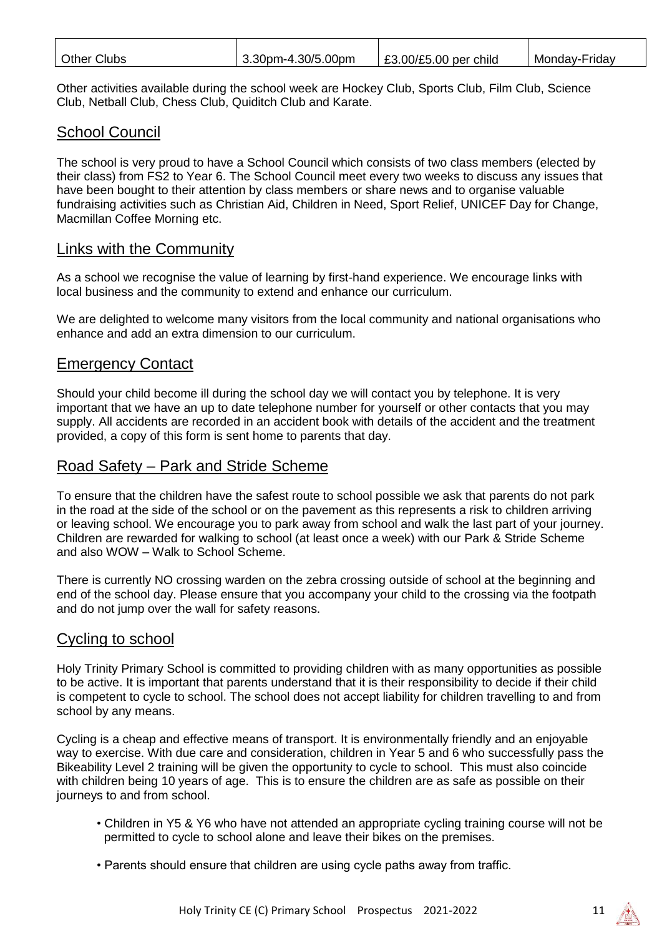| <b>Other Clubs</b><br>Monday-Friday<br>3.30pm-4.30/5.00pm<br>$\vert$ £3.00/£5.00 per child |  |
|--------------------------------------------------------------------------------------------|--|
|--------------------------------------------------------------------------------------------|--|

Other activities available during the school week are Hockey Club, Sports Club, Film Club, Science Club, Netball Club, Chess Club, Quiditch Club and Karate.

# School Council

The school is very proud to have a School Council which consists of two class members (elected by their class) from FS2 to Year 6. The School Council meet every two weeks to discuss any issues that have been bought to their attention by class members or share news and to organise valuable fundraising activities such as Christian Aid, Children in Need, Sport Relief, UNICEF Day for Change, Macmillan Coffee Morning etc.

#### Links with the Community

As a school we recognise the value of learning by first-hand experience. We encourage links with local business and the community to extend and enhance our curriculum.

We are delighted to welcome many visitors from the local community and national organisations who enhance and add an extra dimension to our curriculum.

# Emergency Contact

Should your child become ill during the school day we will contact you by telephone. It is very important that we have an up to date telephone number for yourself or other contacts that you may supply. All accidents are recorded in an accident book with details of the accident and the treatment provided, a copy of this form is sent home to parents that day.

# Road Safety – Park and Stride Scheme

To ensure that the children have the safest route to school possible we ask that parents do not park in the road at the side of the school or on the pavement as this represents a risk to children arriving or leaving school. We encourage you to park away from school and walk the last part of your journey. Children are rewarded for walking to school (at least once a week) with our Park & Stride Scheme and also WOW – Walk to School Scheme.

There is currently NO crossing warden on the zebra crossing outside of school at the beginning and end of the school day. Please ensure that you accompany your child to the crossing via the footpath and do not jump over the wall for safety reasons.

# Cycling to school

Holy Trinity Primary School is committed to providing children with as many opportunities as possible to be active. It is important that parents understand that it is their responsibility to decide if their child is competent to cycle to school. The school does not accept liability for children travelling to and from school by any means.

Cycling is a cheap and effective means of transport. It is environmentally friendly and an enjoyable way to exercise. With due care and consideration, children in Year 5 and 6 who successfully pass the Bikeability Level 2 training will be given the opportunity to cycle to school. This must also coincide with children being 10 years of age. This is to ensure the children are as safe as possible on their journeys to and from school.

- Children in Y5 & Y6 who have not attended an appropriate cycling training course will not be permitted to cycle to school alone and leave their bikes on the premises.
- Parents should ensure that children are using cycle paths away from traffic.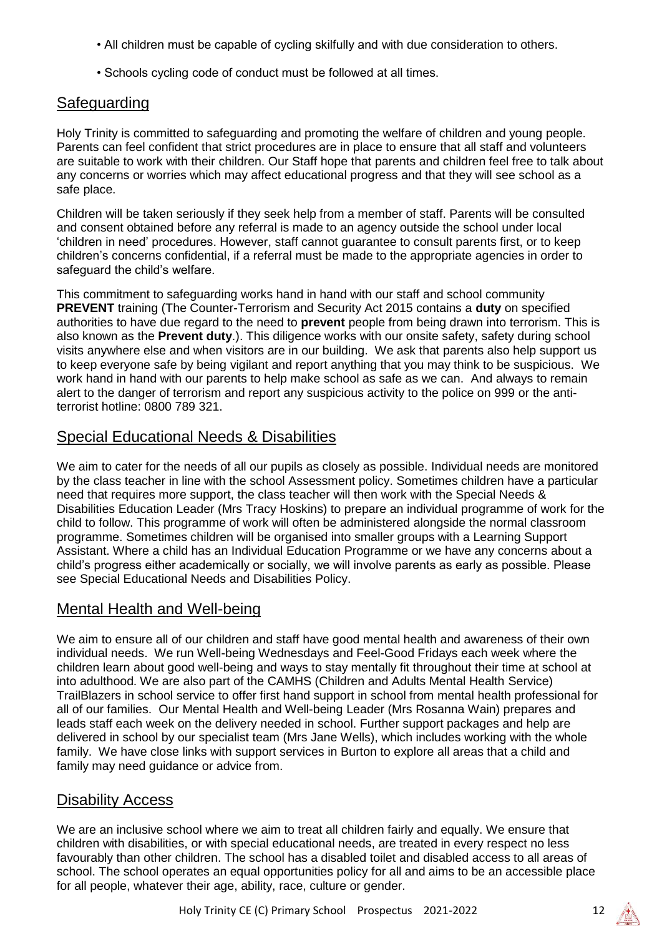- All children must be capable of cycling skilfully and with due consideration to others.
- Schools cycling code of conduct must be followed at all times.

# **Safeguarding**

Holy Trinity is committed to safeguarding and promoting the welfare of children and young people. Parents can feel confident that strict procedures are in place to ensure that all staff and volunteers are suitable to work with their children. Our Staff hope that parents and children feel free to talk about any concerns or worries which may affect educational progress and that they will see school as a safe place.

Children will be taken seriously if they seek help from a member of staff. Parents will be consulted and consent obtained before any referral is made to an agency outside the school under local 'children in need' procedures. However, staff cannot guarantee to consult parents first, or to keep children's concerns confidential, if a referral must be made to the appropriate agencies in order to safeguard the child's welfare.

This commitment to safeguarding works hand in hand with our staff and school community **PREVENT** training (The Counter-Terrorism and Security Act 2015 contains a **duty** on specified authorities to have due regard to the need to **prevent** people from being drawn into terrorism. This is also known as the **Prevent duty**.). This diligence works with our onsite safety, safety during school visits anywhere else and when visitors are in our building. We ask that parents also help support us to keep everyone safe by being vigilant and report anything that you may think to be suspicious. We work hand in hand with our parents to help make school as safe as we can. And always to remain alert to the danger of terrorism and report any suspicious activity to the police on 999 or the antiterrorist hotline: 0800 789 321.

# Special Educational Needs & Disabilities

We aim to cater for the needs of all our pupils as closely as possible. Individual needs are monitored by the class teacher in line with the school Assessment policy. Sometimes children have a particular need that requires more support, the class teacher will then work with the Special Needs & Disabilities Education Leader (Mrs Tracy Hoskins) to prepare an individual programme of work for the child to follow. This programme of work will often be administered alongside the normal classroom programme. Sometimes children will be organised into smaller groups with a Learning Support Assistant. Where a child has an Individual Education Programme or we have any concerns about a child's progress either academically or socially, we will involve parents as early as possible. Please see Special Educational Needs and Disabilities Policy.

# Mental Health and Well-being

We aim to ensure all of our children and staff have good mental health and awareness of their own individual needs. We run Well-being Wednesdays and Feel-Good Fridays each week where the children learn about good well-being and ways to stay mentally fit throughout their time at school at into adulthood. We are also part of the CAMHS (Children and Adults Mental Health Service) TrailBlazers in school service to offer first hand support in school from mental health professional for all of our families. Our Mental Health and Well-being Leader (Mrs Rosanna Wain) prepares and leads staff each week on the delivery needed in school. Further support packages and help are delivered in school by our specialist team (Mrs Jane Wells), which includes working with the whole family. We have close links with support services in Burton to explore all areas that a child and family may need guidance or advice from.

# Disability Access

We are an inclusive school where we aim to treat all children fairly and equally. We ensure that children with disabilities, or with special educational needs, are treated in every respect no less favourably than other children. The school has a disabled toilet and disabled access to all areas of school. The school operates an equal opportunities policy for all and aims to be an accessible place for all people, whatever their age, ability, race, culture or gender.

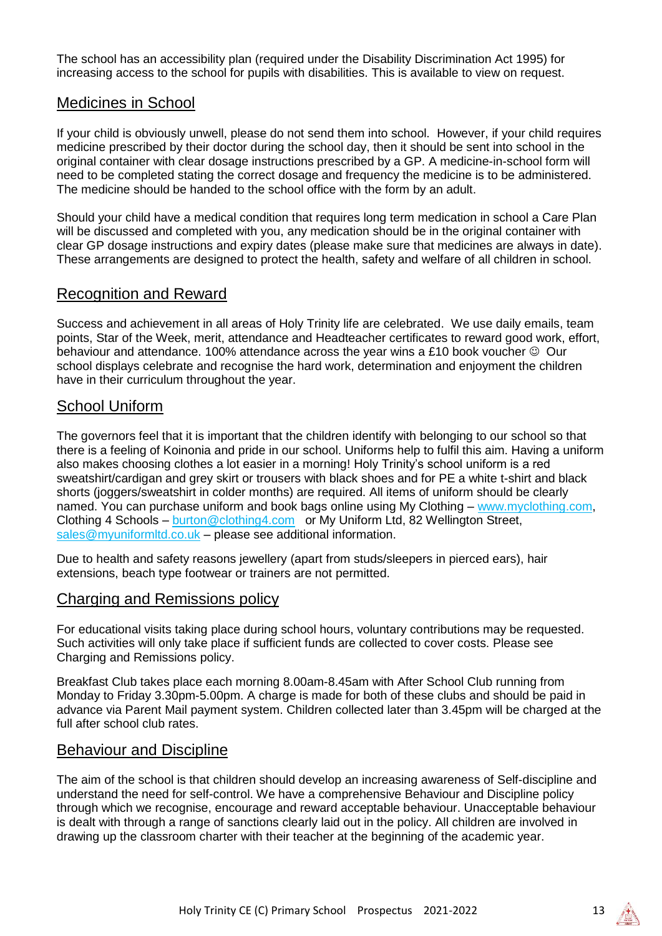The school has an accessibility plan (required under the Disability Discrimination Act 1995) for increasing access to the school for pupils with disabilities. This is available to view on request.

# Medicines in School

If your child is obviously unwell, please do not send them into school. However, if your child requires medicine prescribed by their doctor during the school day, then it should be sent into school in the original container with clear dosage instructions prescribed by a GP. A medicine-in-school form will need to be completed stating the correct dosage and frequency the medicine is to be administered. The medicine should be handed to the school office with the form by an adult.

Should your child have a medical condition that requires long term medication in school a Care Plan will be discussed and completed with you, any medication should be in the original container with clear GP dosage instructions and expiry dates (please make sure that medicines are always in date). These arrangements are designed to protect the health, safety and welfare of all children in school.

#### Recognition and Reward

Success and achievement in all areas of Holy Trinity life are celebrated. We use daily emails, team points, Star of the Week, merit, attendance and Headteacher certificates to reward good work, effort, behaviour and attendance. 100% attendance across the year wins a £10 book voucher  $\odot$  Our school displays celebrate and recognise the hard work, determination and enjoyment the children have in their curriculum throughout the year.

# School Uniform

The governors feel that it is important that the children identify with belonging to our school so that there is a feeling of Koinonia and pride in our school. Uniforms help to fulfil this aim. Having a uniform also makes choosing clothes a lot easier in a morning! Holy Trinity's school uniform is a red sweatshirt/cardigan and grey skirt or trousers with black shoes and for PE a white t-shirt and black shorts (joggers/sweatshirt in colder months) are required. All items of uniform should be clearly named. You can purchase uniform and book bags online using My Clothing – [www.myclothing.com,](http://www.myclothing.com/) Clothing 4 Schools – [burton@clothing4.com](mailto:burton@clothing4.com) or My Uniform Ltd, 82 Wellington Street, sales@myuniformltd.co.uk – please see additional information.

Due to health and safety reasons jewellery (apart from studs/sleepers in pierced ears), hair extensions, beach type footwear or trainers are not permitted.

# Charging and Remissions policy

For educational visits taking place during school hours, voluntary contributions may be requested. Such activities will only take place if sufficient funds are collected to cover costs. Please see Charging and Remissions policy.

Breakfast Club takes place each morning 8.00am-8.45am with After School Club running from Monday to Friday 3.30pm-5.00pm. A charge is made for both of these clubs and should be paid in advance via Parent Mail payment system. Children collected later than 3.45pm will be charged at the full after school club rates.

#### Behaviour and Discipline

The aim of the school is that children should develop an increasing awareness of Self-discipline and understand the need for self-control. We have a comprehensive Behaviour and Discipline policy through which we recognise, encourage and reward acceptable behaviour. Unacceptable behaviour is dealt with through a range of sanctions clearly laid out in the policy. All children are involved in drawing up the classroom charter with their teacher at the beginning of the academic year.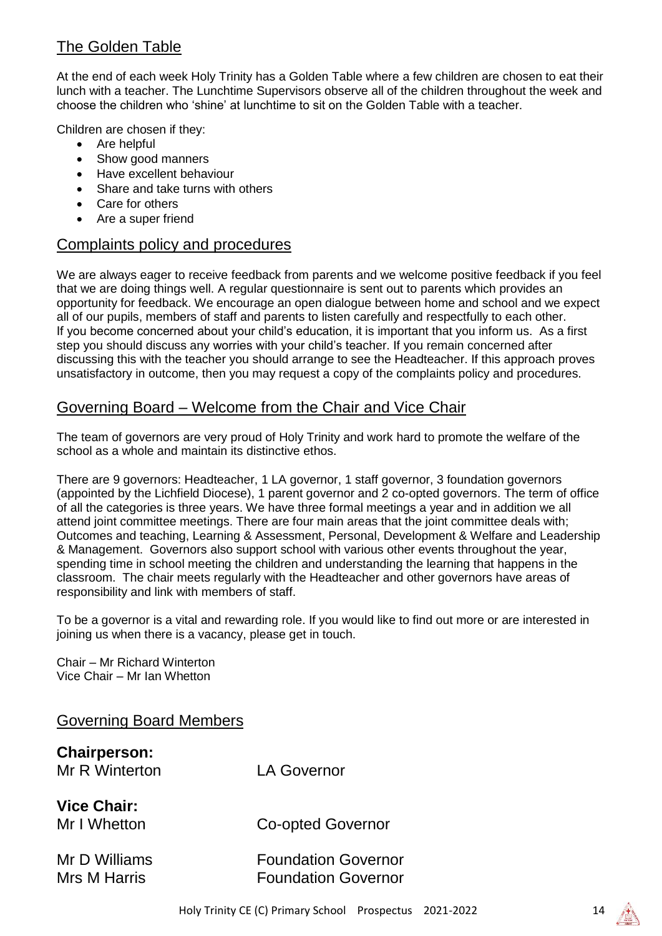# The Golden Table

At the end of each week Holy Trinity has a Golden Table where a few children are chosen to eat their lunch with a teacher. The Lunchtime Supervisors observe all of the children throughout the week and choose the children who 'shine' at lunchtime to sit on the Golden Table with a teacher.

Children are chosen if they:

- Are helpful
- Show good manners
- Have excellent behaviour
- Share and take turns with others
- Care for others
- Are a super friend

# Complaints policy and procedures

We are always eager to receive feedback from parents and we welcome positive feedback if you feel that we are doing things well. A regular questionnaire is sent out to parents which provides an opportunity for feedback. We encourage an open dialogue between home and school and we expect all of our pupils, members of staff and parents to listen carefully and respectfully to each other. If you become concerned about your child's education, it is important that you inform us. As a first step you should discuss any worries with your child's teacher. If you remain concerned after discussing this with the teacher you should arrange to see the Headteacher. If this approach proves unsatisfactory in outcome, then you may request a copy of the complaints policy and procedures.

# Governing Board – Welcome from the Chair and Vice Chair

The team of governors are very proud of Holy Trinity and work hard to promote the welfare of the school as a whole and maintain its distinctive ethos.

There are 9 governors: Headteacher, 1 LA governor, 1 staff governor, 3 foundation governors (appointed by the Lichfield Diocese), 1 parent governor and 2 co-opted governors. The term of office of all the categories is three years. We have three formal meetings a year and in addition we all attend joint committee meetings. There are four main areas that the joint committee deals with; Outcomes and teaching, Learning & Assessment, Personal, Development & Welfare and Leadership & Management. Governors also support school with various other events throughout the year, spending time in school meeting the children and understanding the learning that happens in the classroom. The chair meets regularly with the Headteacher and other governors have areas of responsibility and link with members of staff.

To be a governor is a vital and rewarding role. If you would like to find out more or are interested in joining us when there is a vacancy, please get in touch.

Chair – Mr Richard Winterton Vice Chair – Mr Ian Whetton

| <b>Governing Board Members</b>        |                          |
|---------------------------------------|--------------------------|
| <b>Chairperson:</b><br>Mr R Winterton | <b>LA Governor</b>       |
| <b>Vice Chair:</b><br>Mr I Whetton    | <b>Co-opted Governor</b> |

| Mr D Williams | <b>Foundation Governor</b> |
|---------------|----------------------------|
| Mrs M Harris  | <b>Foundation Governor</b> |

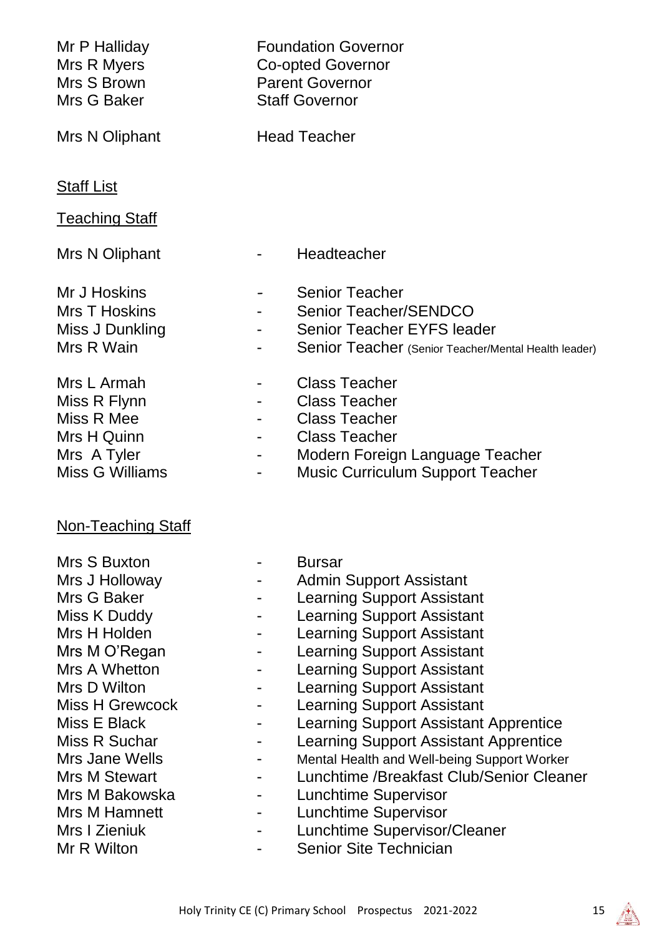| <b>Foundation Governor</b><br><b>Co-opted Governor</b><br><b>Parent Governor</b><br><b>Staff Governor</b>                                                                                                                                                                                                                                                                                                                                                                                                                                                                                                                                    |  |  |
|----------------------------------------------------------------------------------------------------------------------------------------------------------------------------------------------------------------------------------------------------------------------------------------------------------------------------------------------------------------------------------------------------------------------------------------------------------------------------------------------------------------------------------------------------------------------------------------------------------------------------------------------|--|--|
| <b>Head Teacher</b>                                                                                                                                                                                                                                                                                                                                                                                                                                                                                                                                                                                                                          |  |  |
|                                                                                                                                                                                                                                                                                                                                                                                                                                                                                                                                                                                                                                              |  |  |
| Headteacher                                                                                                                                                                                                                                                                                                                                                                                                                                                                                                                                                                                                                                  |  |  |
| <b>Senior Teacher</b><br><b>Senior Teacher/SENDCO</b><br><b>Senior Teacher EYFS leader</b><br>Senior Teacher (Senior Teacher/Mental Health leader)                                                                                                                                                                                                                                                                                                                                                                                                                                                                                           |  |  |
| <b>Class Teacher</b><br><b>Class Teacher</b><br><b>Class Teacher</b><br><b>Class Teacher</b><br>Modern Foreign Language Teacher<br><b>Music Curriculum Support Teacher</b>                                                                                                                                                                                                                                                                                                                                                                                                                                                                   |  |  |
|                                                                                                                                                                                                                                                                                                                                                                                                                                                                                                                                                                                                                                              |  |  |
| <b>Bursar</b><br><b>Admin Support Assistant</b><br><b>Learning Support Assistant</b><br><b>Learning Support Assistant</b><br><b>Learning Support Assistant</b><br><b>Learning Support Assistant</b><br><b>Learning Support Assistant</b><br><b>Learning Support Assistant</b><br><b>Learning Support Assistant</b><br><b>Learning Support Assistant Apprentice</b><br><b>Learning Support Assistant Apprentice</b><br>Mental Health and Well-being Support Worker<br>Lunchtime /Breakfast Club/Senior Cleaner<br><b>Lunchtime Supervisor</b><br><b>Lunchtime Supervisor</b><br>Lunchtime Supervisor/Cleaner<br><b>Senior Site Technician</b> |  |  |
|                                                                                                                                                                                                                                                                                                                                                                                                                                                                                                                                                                                                                                              |  |  |